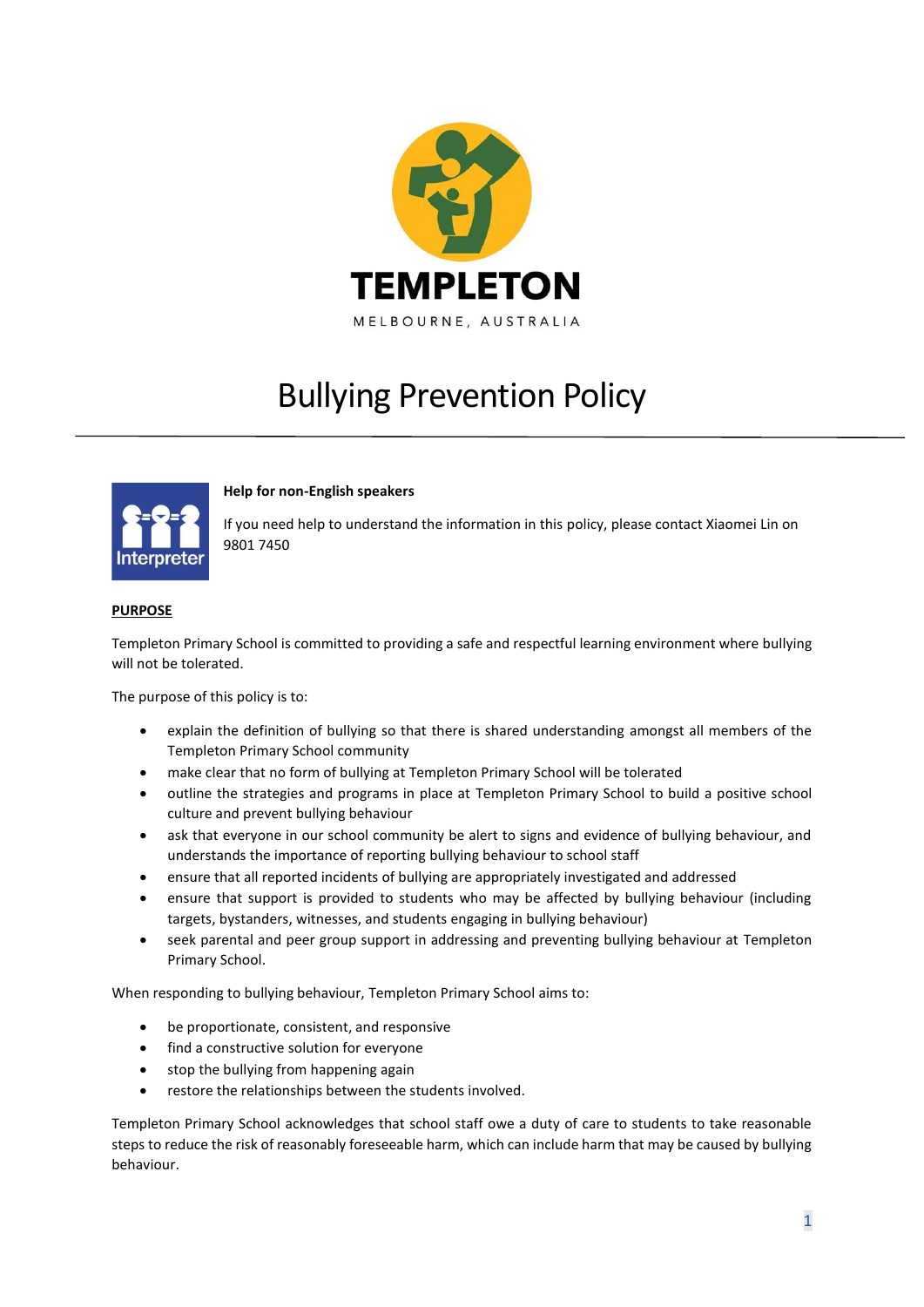

# Bullying Prevention Policy



# **Help for non-English speakers**

If you need help to understand the information in this policy, please contact Xiaomei Lin on 9801 7450

# **PURPOSE**

Templeton Primary School is committed to providing a safe and respectful learning environment where bullying will not be tolerated.

The purpose of this policy is to:

- explain the definition of bullying so that there is shared understanding amongst all members of the Templeton Primary School community
- make clear that no form of bullying at Templeton Primary School will be tolerated
- outline the strategies and programs in place at Templeton Primary School to build a positive school culture and prevent bullying behaviour
- ask that everyone in our school community be alert to signs and evidence of bullying behaviour, and understands the importance of reporting bullying behaviour to school staff
- ensure that all reported incidents of bullying are appropriately investigated and addressed
- ensure that support is provided to students who may be affected by bullying behaviour (including targets, bystanders, witnesses, and students engaging in bullying behaviour)
- seek parental and peer group support in addressing and preventing bullying behaviour at Templeton Primary School.

When responding to bullying behaviour, Templeton Primary School aims to:

- be proportionate, consistent, and responsive
- find a constructive solution for everyone
- stop the bullying from happening again
- restore the relationships between the students involved.

Templeton Primary School acknowledges that school staff owe a duty of care to students to take reasonable steps to reduce the risk of reasonably foreseeable harm, which can include harm that may be caused by bullying behaviour.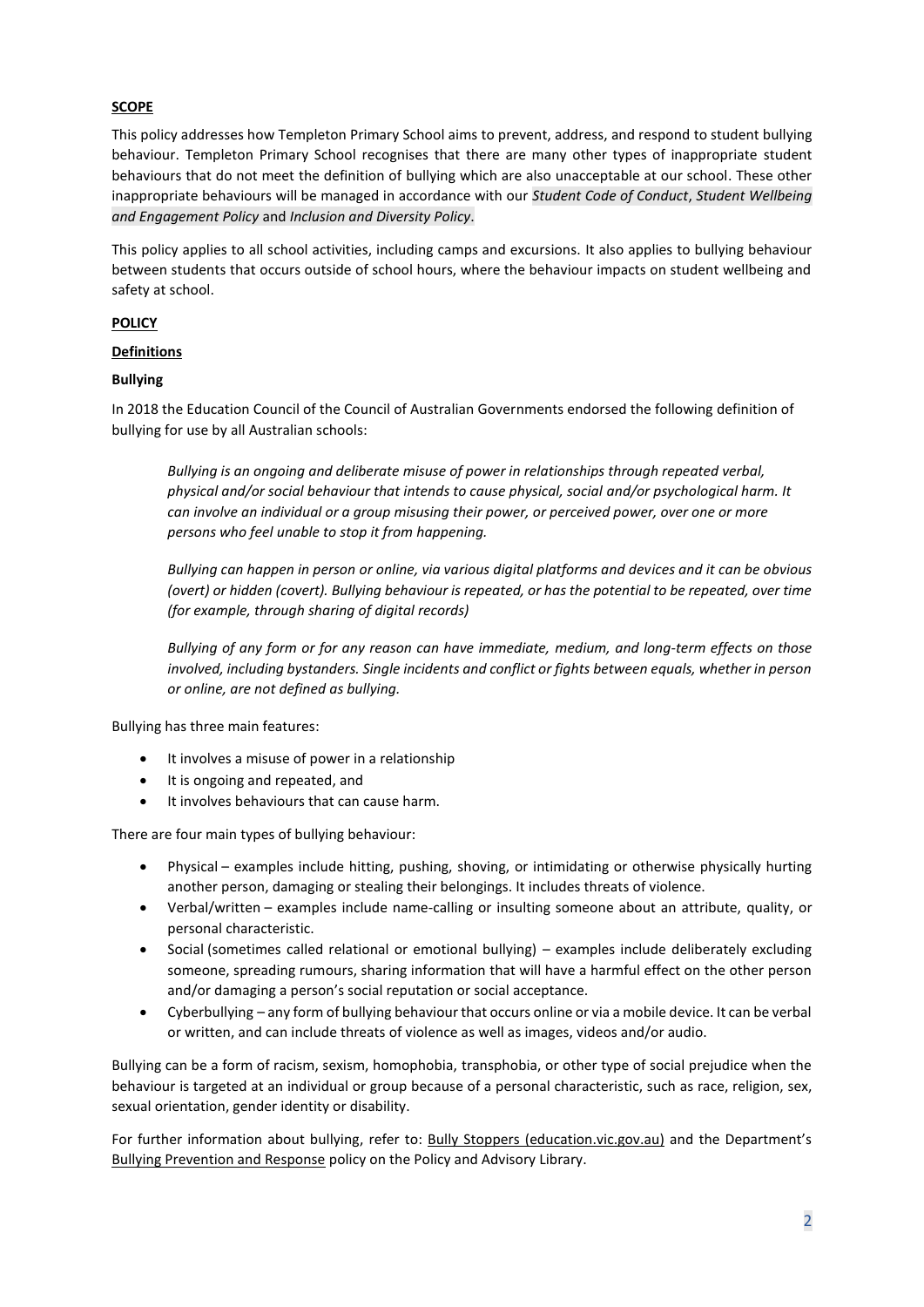# **SCOPE**

This policy addresses how Templeton Primary School aims to prevent, address, and respond to student bullying behaviour. Templeton Primary School recognises that there are many other types of inappropriate student behaviours that do not meet the definition of bullying which are also unacceptable at our school. These other inappropriate behaviours will be managed in accordance with our *Student Code of Conduct*, *Student Wellbeing and Engagement Policy* and *Inclusion and Diversity Policy*.

This policy applies to all school activities, including camps and excursions. It also applies to bullying behaviour between students that occurs outside of school hours, where the behaviour impacts on student wellbeing and safety at school.

# **POLICY**

#### **Definitions**

# **Bullying**

In 2018 the Education Council of the Council of Australian Governments endorsed the following definition of bullying for use by all Australian schools:

*Bullying is an ongoing and deliberate misuse of power in relationships through repeated verbal, physical and/or social behaviour that intends to cause physical, social and/or psychological harm. It can involve an individual or a group misusing their power, or perceived power, over one or more persons who feel unable to stop it from happening.*

*Bullying can happen in person or online, via various digital platforms and devices and it can be obvious (overt) or hidden (covert). Bullying behaviour is repeated, or has the potential to be repeated, over time (for example, through sharing of digital records)*

*Bullying of any form or for any reason can have immediate, medium, and long-term effects on those involved, including bystanders. Single incidents and conflict or fights between equals, whether in person or online, are not defined as bullying.* 

Bullying has three main features:

- It involves a misuse of power in a relationship
- It is ongoing and repeated, and
- It involves behaviours that can cause harm.

There are four main types of bullying behaviour:

- Physical examples include hitting, pushing, shoving, or intimidating or otherwise physically hurting another person, damaging or stealing their belongings. It includes threats of violence.
- Verbal/written examples include name-calling or insulting someone about an attribute, quality, or personal characteristic.
- Social (sometimes called relational or emotional bullying) examples include deliberately excluding someone, spreading rumours, sharing information that will have a harmful effect on the other person and/or damaging a person's social reputation or social acceptance.
- Cyberbullying any form of bullying behaviour that occurs online or via a mobile device. It can be verbal or written, and can include threats of violence as well as images, videos and/or audio.

Bullying can be a form of racism, sexism, homophobia, transphobia, or other type of social prejudice when the behaviour is targeted at an individual or group because of a personal characteristic, such as race, religion, sex, sexual orientation, gender identity or disability.

For further information about bullying, refer to: [Bully Stoppers \(education.vic.gov.au\)](https://www.education.vic.gov.au/about/programs/bullystoppers/Pages/default.aspx) and the Department's [Bullying Prevention and Response](https://www2.education.vic.gov.au/pal/bullying-prevention-response/policy) policy on the Policy and Advisory Library.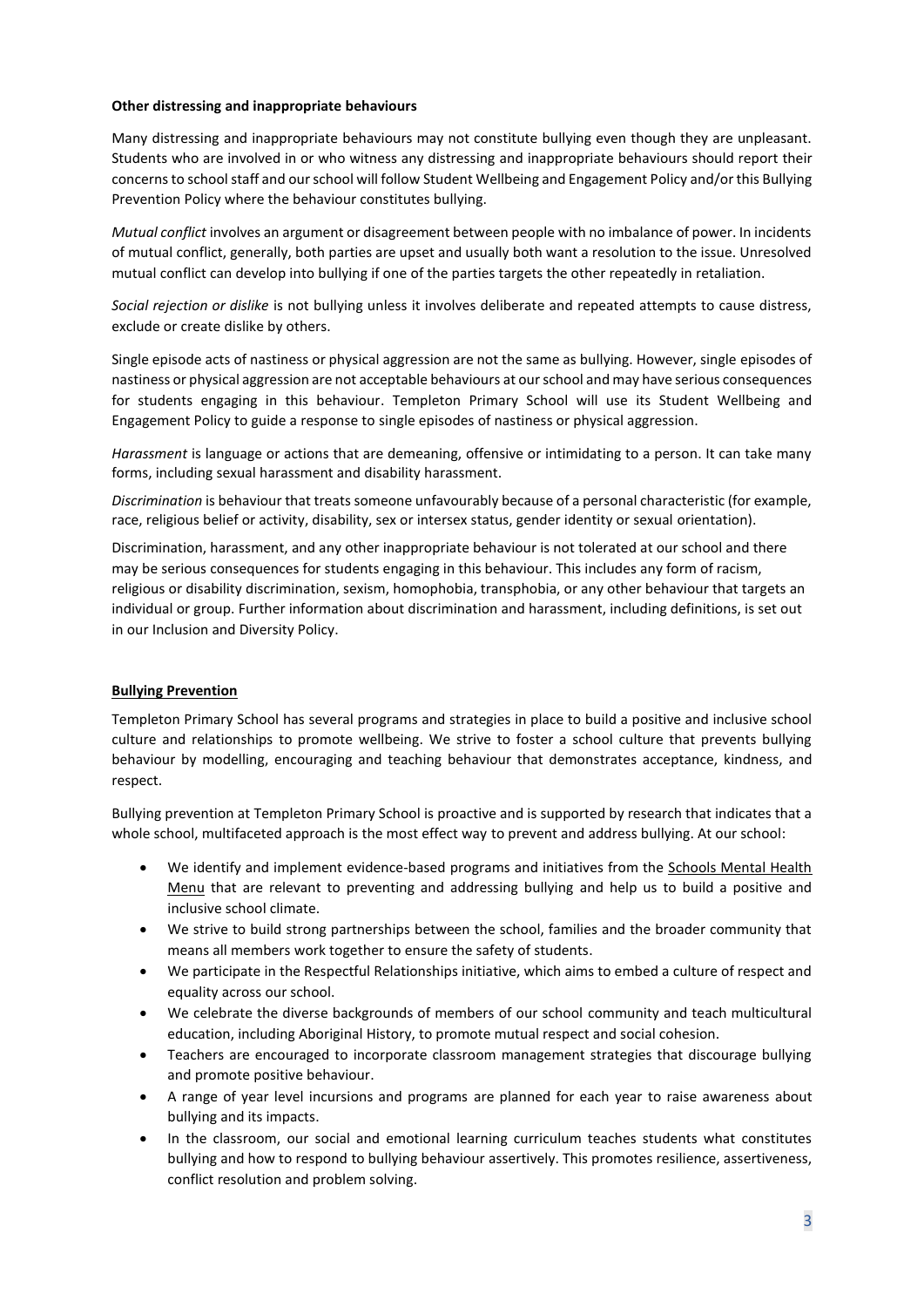#### **Other distressing and inappropriate behaviours**

Many distressing and inappropriate behaviours may not constitute bullying even though they are unpleasant. Students who are involved in or who witness any distressing and inappropriate behaviours should report their concerns to school staff and our school will follow Student Wellbeing and Engagement Policy and/or this Bullying Prevention Policy where the behaviour constitutes bullying.

*Mutual conflict* involves an argument or disagreement between people with no imbalance of power. In incidents of mutual conflict, generally, both parties are upset and usually both want a resolution to the issue. Unresolved mutual conflict can develop into bullying if one of the parties targets the other repeatedly in retaliation.

*Social rejection or dislike* is not bullying unless it involves deliberate and repeated attempts to cause distress, exclude or create dislike by others.

Single episode acts of nastiness or physical aggression are not the same as bullying. However, single episodes of nastiness or physical aggression are not acceptable behaviours at our school and may have serious consequences for students engaging in this behaviour. Templeton Primary School will use its Student Wellbeing and Engagement Policy to guide a response to single episodes of nastiness or physical aggression.

*Harassment* is language or actions that are demeaning, offensive or intimidating to a person. It can take many forms, including sexual harassment and disability harassment.

*Discrimination* is behaviour that treats someone unfavourably because of a personal characteristic (for example, race, religious belief or activity, disability, sex or intersex status, gender identity or sexual orientation).

Discrimination, harassment, and any other inappropriate behaviour is not tolerated at our school and there may be serious consequences for students engaging in this behaviour. This includes any form of racism, religious or disability discrimination, sexism, homophobia, transphobia, or any other behaviour that targets an individual or group. Further information about discrimination and harassment, including definitions, is set out in our Inclusion and Diversity Policy.

# **Bullying Prevention**

Templeton Primary School has several programs and strategies in place to build a positive and inclusive school culture and relationships to promote wellbeing. We strive to foster a school culture that prevents bullying behaviour by modelling, encouraging and teaching behaviour that demonstrates acceptance, kindness, and respect.

Bullying prevention at Templeton Primary School is proactive and is supported by research that indicates that a whole school, multifaceted approach is the most effect way to prevent and address bullying. At our school:

- We identify and implement evidence-based programs and initiatives from the Schools Mental Health [Menu](https://www.education.vic.gov.au/school/teachers/health/mentalhealth/mental-health-menu/Pages/Menu.aspx?Redirect=1) that are relevant to preventing and addressing bullying and help us to build a positive and inclusive school climate.
- We strive to build strong partnerships between the school, families and the broader community that means all members work together to ensure the safety of students.
- We participate in the Respectful Relationships initiative, which aims to embed a culture of respect and equality across our school.
- We celebrate the diverse backgrounds of members of our school community and teach multicultural education, including Aboriginal History, to promote mutual respect and social cohesion.
- Teachers are encouraged to incorporate classroom management strategies that discourage bullying and promote positive behaviour.
- A range of year level incursions and programs are planned for each year to raise awareness about bullying and its impacts.
- In the classroom, our social and emotional learning curriculum teaches students what constitutes bullying and how to respond to bullying behaviour assertively. This promotes resilience, assertiveness, conflict resolution and problem solving.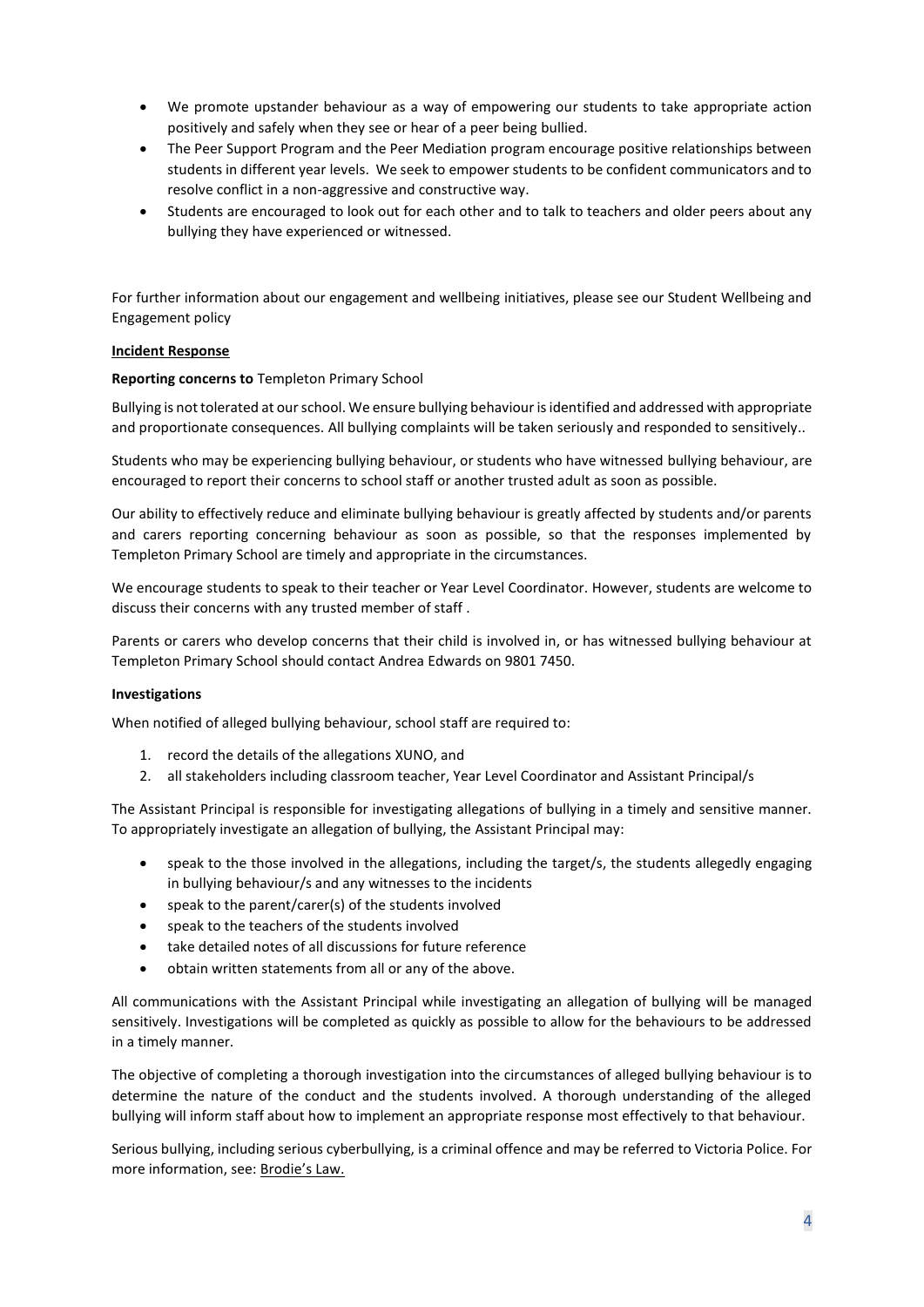- We promote upstander behaviour as a way of empowering our students to take appropriate action positively and safely when they see or hear of a peer being bullied.
- The Peer Support Program and the Peer Mediation program encourage positive relationships between students in different year levels. We seek to empower students to be confident communicators and to resolve conflict in a non-aggressive and constructive way.
- Students are encouraged to look out for each other and to talk to teachers and older peers about any bullying they have experienced or witnessed.

For further information about our engagement and wellbeing initiatives, please see our Student Wellbeing and Engagement policy

#### **Incident Response**

#### **Reporting concerns to** Templeton Primary School

Bullying is not tolerated at our school. We ensure bullying behaviour is identified and addressed with appropriate and proportionate consequences. All bullying complaints will be taken seriously and responded to sensitively..

Students who may be experiencing bullying behaviour, or students who have witnessed bullying behaviour, are encouraged to report their concerns to school staff or another trusted adult as soon as possible.

Our ability to effectively reduce and eliminate bullying behaviour is greatly affected by students and/or parents and carers reporting concerning behaviour as soon as possible, so that the responses implemented by Templeton Primary School are timely and appropriate in the circumstances.

We encourage students to speak to their teacher or Year Level Coordinator. However, students are welcome to discuss their concerns with any trusted member of staff .

Parents or carers who develop concerns that their child is involved in, or has witnessed bullying behaviour at Templeton Primary School should contact Andrea Edwards on 9801 7450.

#### **Investigations**

When notified of alleged bullying behaviour, school staff are required to:

- 1. record the details of the allegations XUNO, and
- 2. all stakeholders including classroom teacher, Year Level Coordinator and Assistant Principal/s

The Assistant Principal is responsible for investigating allegations of bullying in a timely and sensitive manner. To appropriately investigate an allegation of bullying, the Assistant Principal may:

- speak to the those involved in the allegations, including the target/s, the students allegedly engaging in bullying behaviour/s and any witnesses to the incidents
- speak to the parent/carer(s) of the students involved
- speak to the teachers of the students involved
- take detailed notes of all discussions for future reference
- obtain written statements from all or any of the above.

All communications with the Assistant Principal while investigating an allegation of bullying will be managed sensitively. Investigations will be completed as quickly as possible to allow for the behaviours to be addressed in a timely manner.

The objective of completing a thorough investigation into the circumstances of alleged bullying behaviour is to determine the nature of the conduct and the students involved. A thorough understanding of the alleged bullying will inform staff about how to implement an appropriate response most effectively to that behaviour.

Serious bullying, including serious cyberbullying, is a criminal offence and may be referred to Victoria Police. For more information, see: [Brodie's Law.](http://www.education.vic.gov.au/about/programs/bullystoppers/Pages/advicesheetbrodieslaw.aspx)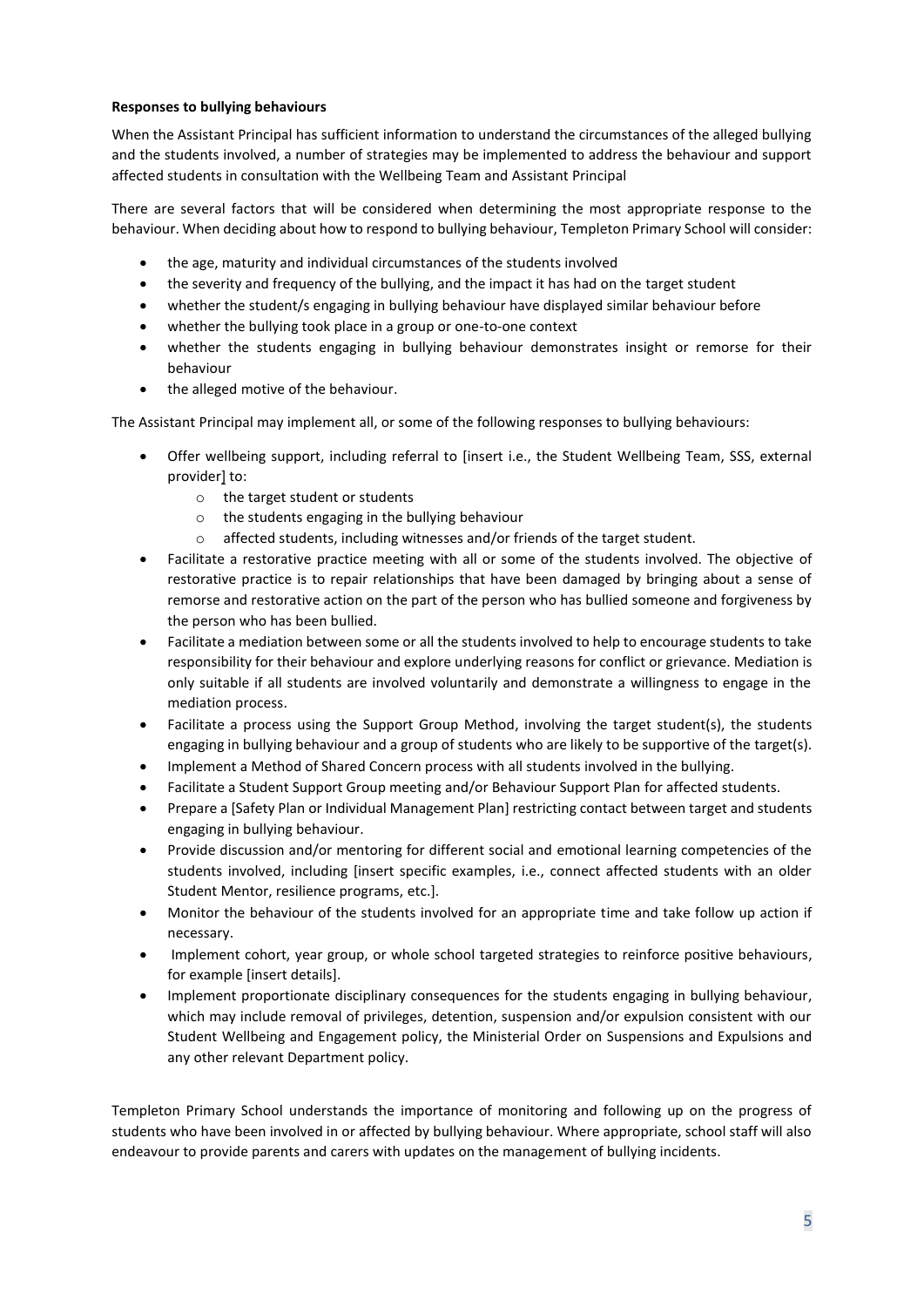# **Responses to bullying behaviours**

When the Assistant Principal has sufficient information to understand the circumstances of the alleged bullying and the students involved, a number of strategies may be implemented to address the behaviour and support affected students in consultation with the Wellbeing Team and Assistant Principal

There are several factors that will be considered when determining the most appropriate response to the behaviour. When deciding about how to respond to bullying behaviour, Templeton Primary School will consider:

- the age, maturity and individual circumstances of the students involved
- the severity and frequency of the bullying, and the impact it has had on the target student
- whether the student/s engaging in bullying behaviour have displayed similar behaviour before
- whether the bullying took place in a group or one-to-one context
- whether the students engaging in bullying behaviour demonstrates insight or remorse for their behaviour
- the alleged motive of the behaviour.

The Assistant Principal may implement all, or some of the following responses to bullying behaviours:

- Offer wellbeing support, including referral to [insert i.e., the Student Wellbeing Team, SSS, external provider] to:
	- o the target student or students
	- o the students engaging in the bullying behaviour
	- o affected students, including witnesses and/or friends of the target student.
- Facilitate a restorative practice meeting with all or some of the students involved. The objective of restorative practice is to repair relationships that have been damaged by bringing about a sense of remorse and restorative action on the part of the person who has bullied someone and forgiveness by the person who has been bullied.
- Facilitate a mediation between some or all the students involved to help to encourage students to take responsibility for their behaviour and explore underlying reasons for conflict or grievance. Mediation is only suitable if all students are involved voluntarily and demonstrate a willingness to engage in the mediation process.
- Facilitate a process using the Support Group Method, involving the target student(s), the students engaging in bullying behaviour and a group of students who are likely to be supportive of the target(s).
- Implement a Method of Shared Concern process with all students involved in the bullying.
- Facilitate a Student Support Group meeting and/or Behaviour Support Plan for affected students.
- Prepare a [Safety Plan or Individual Management Plan] restricting contact between target and students engaging in bullying behaviour.
- Provide discussion and/or mentoring for different social and emotional learning competencies of the students involved, including [insert specific examples, i.e., connect affected students with an older Student Mentor, resilience programs, etc.].
- Monitor the behaviour of the students involved for an appropriate time and take follow up action if necessary.
- Implement cohort, year group, or whole school targeted strategies to reinforce positive behaviours, for example [insert details].
- Implement proportionate disciplinary consequences for the students engaging in bullying behaviour, which may include removal of privileges, detention, suspension and/or expulsion consistent with our Student Wellbeing and Engagement policy, the Ministerial Order on Suspensions and Expulsions and any other relevant Department policy.

Templeton Primary School understands the importance of monitoring and following up on the progress of students who have been involved in or affected by bullying behaviour. Where appropriate, school staff will also endeavour to provide parents and carers with updates on the management of bullying incidents.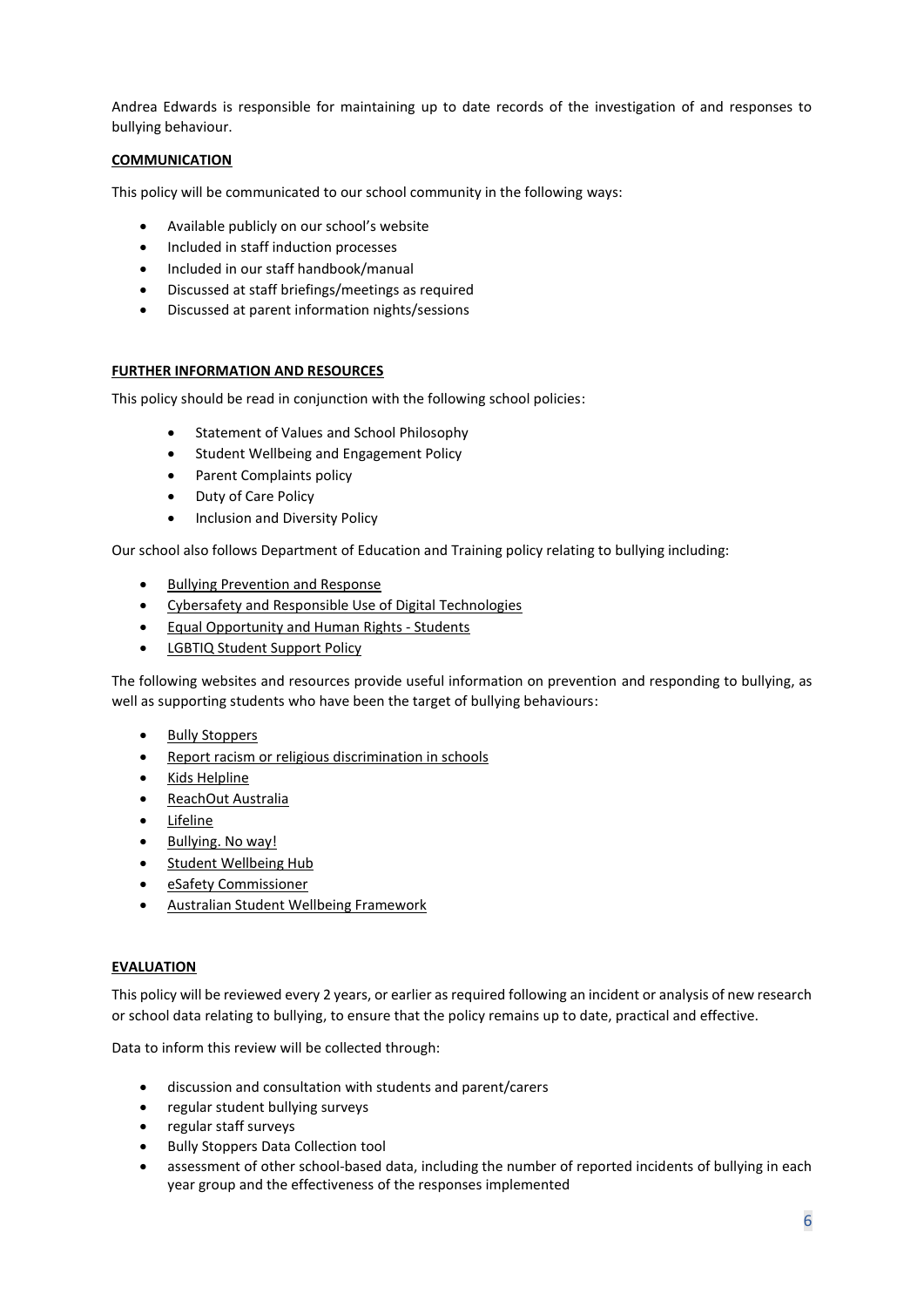Andrea Edwards is responsible for maintaining up to date records of the investigation of and responses to bullying behaviour.

# **COMMUNICATION**

This policy will be communicated to our school community in the following ways:

- Available publicly on our school's website
- Included in staff induction processes
- Included in our staff handbook/manual
- Discussed at staff briefings/meetings as required
- Discussed at parent information nights/sessions

# **FURTHER INFORMATION AND RESOURCES**

This policy should be read in conjunction with the following school policies:

- Statement of Values and School Philosophy
- Student Wellbeing and Engagement Policy
- Parent Complaints policy
- Duty of Care Policy
- Inclusion and Diversity Policy

Our school also follows Department of Education and Training policy relating to bullying including:

- [Bullying Prevention and Response](https://www2.education.vic.gov.au/pal/bullying-prevention-response/policy)
- [Cybersafety and Responsible Use of Digital Technologies](https://www2.education.vic.gov.au/pal/cybersafety/policy)
- [Equal Opportunity and Human Rights -](https://www2.education.vic.gov.au/pal/equal-opportunity-human-rights-students/policy) Students
- [LGBTIQ Student Support Policy](https://www2.education.vic.gov.au/pal/lgbtiq-student-support/policy)

The following websites and resources provide useful information on prevention and responding to bullying, as well as supporting students who have been the target of bullying behaviours:

- [Bully Stoppers](https://www.education.vic.gov.au/about/programs/bullystoppers/Pages/default.aspx)
- [Report racism or religious discrimination in schools](https://www.vic.gov.au/report-racism-or-religious-discrimination-schools)
- Kids [Helpline](https://kidshelpline.com.au/)
- [ReachOut Australia](https://au.reachout.com/)
- [Lifeline](https://www.lifeline.org.au/)
- [Bullying. No way!](https://bullyingnoway.gov.au/)
- [Student Wellbeing Hub](https://www.studentwellbeinghub.edu.au/)
- [eSafety Commissioner](https://www.esafety.gov.au/)
- [Australian Student Wellbeing Framework](https://studentwellbeinghub.edu.au/educators/resources/australian-student-wellbeing-framework/)

#### **EVALUATION**

This policy will be reviewed every 2 years, or earlier as required following an incident or analysis of new research or school data relating to bullying, to ensure that the policy remains up to date, practical and effective.

Data to inform this review will be collected through:

- discussion and consultation with students and parent/carers
- regular student bullying surveys
- regular staff surveys
- Bully Stoppers Data Collection tool
- assessment of other school-based data, including the number of reported incidents of bullying in each year group and the effectiveness of the responses implemented